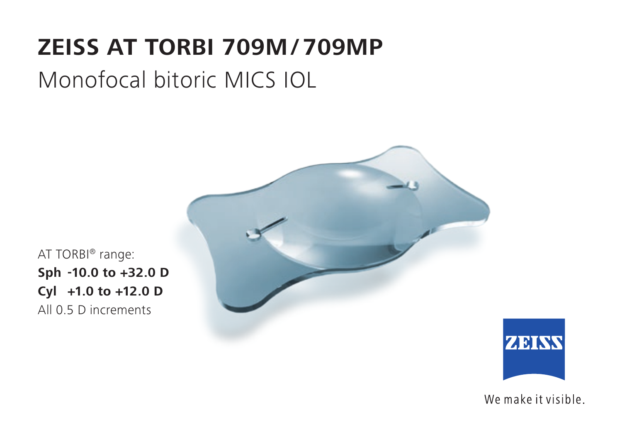# **ZEISS AT TORBI 709M / 709MP**

## Monofocal bitoric MICS IOL



AT TORBI® range: **Sph -10.0 to +32.0 D Cyl +1.0 to +12.0 D** All 0.5 D increments

**ZEISS** 

We make it visible.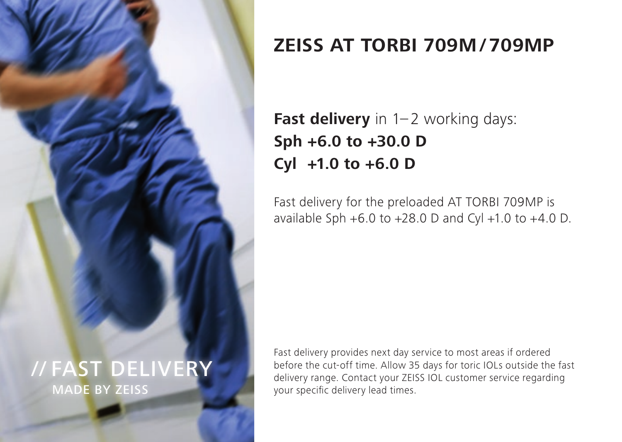

## **ZEISS AT TORBI 709M / 709MP**

## **Fast delivery** in 1-2 working days: **Sph +6.0 to +30.0 D Cyl +1.0 to +6.0 D**

Fast delivery for the preloaded AT TORBI 709MP is available Sph  $+6.0$  to  $+28.0$  D and Cyl  $+1.0$  to  $+4.0$  D.

Fast delivery provides next day service to most areas if ordered before the cut-off time. Allow 35 days for toric IOLs outside the fast delivery range. Contact your ZEISS IOL customer service regarding your specific delivery lead times.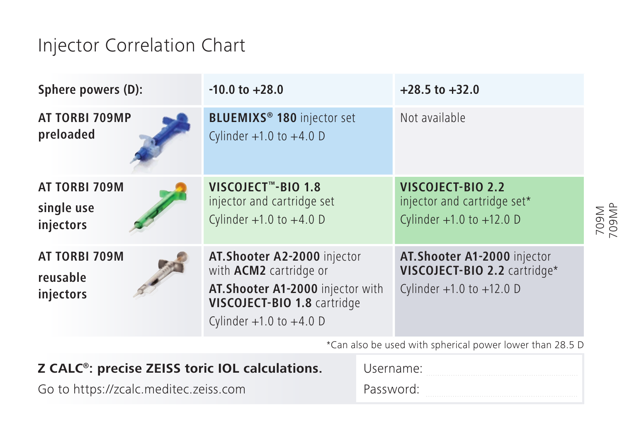## Injector Correlation Chart

| Sphere powers (D):                       | $-10.0$ to $+28.0$                                                                                                                                               | $+28.5$ to $+32.0$                                                                           |              |
|------------------------------------------|------------------------------------------------------------------------------------------------------------------------------------------------------------------|----------------------------------------------------------------------------------------------|--------------|
| AT TORBI 709MP<br>preloaded              | BLUEMIXS <sup>®</sup> 180 injector set<br>Cylinder $+1.0$ to $+4.0$ D                                                                                            | Not available                                                                                |              |
| AT TORBI 709M<br>single use<br>injectors | VISCOJECT™-BIO 1.8<br>injector and cartridge set<br>Cylinder $+1.0$ to $+4.0$ D                                                                                  | VISCOJECT-BIO 2.2<br>injector and cartridge set*<br>Cylinder $+1.0$ to $+12.0$ D             | N602<br>N602 |
| AT TORBI 709M<br>reusable<br>injectors   | AT. Shooter A2-2000 injector<br>with <b>ACM2</b> cartridge or<br>AT. Shooter A1-2000 injector with<br>VISCOJECT-BIO 1.8 cartridge<br>Cylinder $+1.0$ to $+4.0$ D | AT. Shooter A1-2000 injector<br>VISCOJECT-BIO 2.2 cartridge*<br>Cylinder $+1.0$ to $+12.0$ D |              |
|                                          |                                                                                                                                                                  | *Can also he used with spherical power lower than 29 E D                                     |              |

\*Can also be used with spherical power lower than 28.5 D

| Z CALC <sup>®</sup> : precise ZEISS toric IOL calculations. | Username: |  |
|-------------------------------------------------------------|-----------|--|
| Go to https://zcalc.meditec.zeiss.com                       | Password: |  |